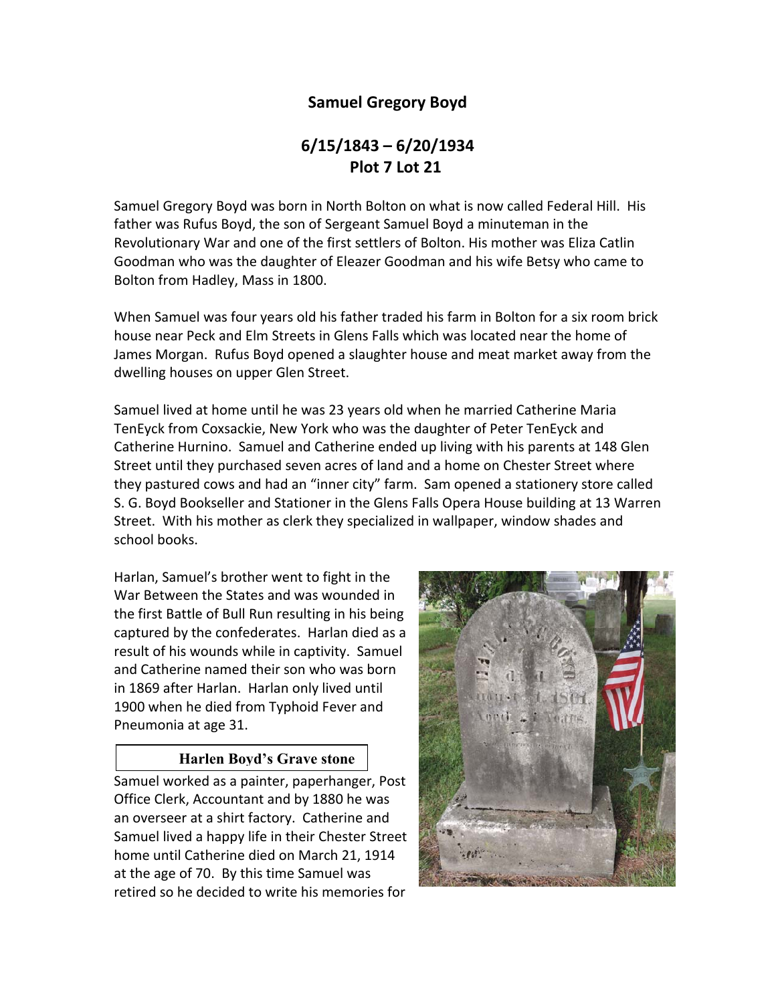# **Samuel Gregory Boyd**

# **6/15/1843 – 6/20/1934 Plot 7 Lot 21**

Samuel Gregory Boyd was born in North Bolton on what is now called Federal Hill. His father was Rufus Boyd, the son of Sergeant Samuel Boyd a minuteman in the Revolutionary War and one of the first settlers of Bolton. His mother was Eliza Catlin Goodman who was the daughter of Eleazer Goodman and his wife Betsy who came to Bolton from Hadley, Mass in 1800.

When Samuel was four years old his father traded his farm in Bolton for a six room brick house near Peck and Elm Streets in Glens Falls which was located near the home of James Morgan. Rufus Boyd opened a slaughter house and meat market away from the dwelling houses on upper Glen Street.

Samuel lived at home until he was 23 years old when he married Catherine Maria TenEyck from Coxsackie, New York who was the daughter of Peter TenEyck and Catherine Hurnino. Samuel and Catherine ended up living with his parents at 148 Glen Street until they purchased seven acres of land and a home on Chester Street where they pastured cows and had an "inner city" farm. Sam opened a stationery store called S. G. Boyd Bookseller and Stationer in the Glens Falls Opera House building at 13 Warren Street. With his mother as clerk they specialized in wallpaper, window shades and school books.

Harlan, Samuel's brother went to fight in the War Between the States and was wounded in the first Battle of Bull Run resulting in his being captured by the confederates. Harlan died as a result of his wounds while in captivity. Samuel and Catherine named their son who was born in 1869 after Harlan. Harlan only lived until 1900 when he died from Typhoid Fever and Pneumonia at age 31.

## **Harlen Boyd's Grave stone**

Samuel worked as a painter, paperhanger, Post Office Clerk, Accountant and by 1880 he was an overseer at a shirt factory. Catherine and Samuel lived a happy life in their Chester Street home until Catherine died on March 21, 1914 at the age of 70. By this time Samuel was retired so he decided to write his memories for

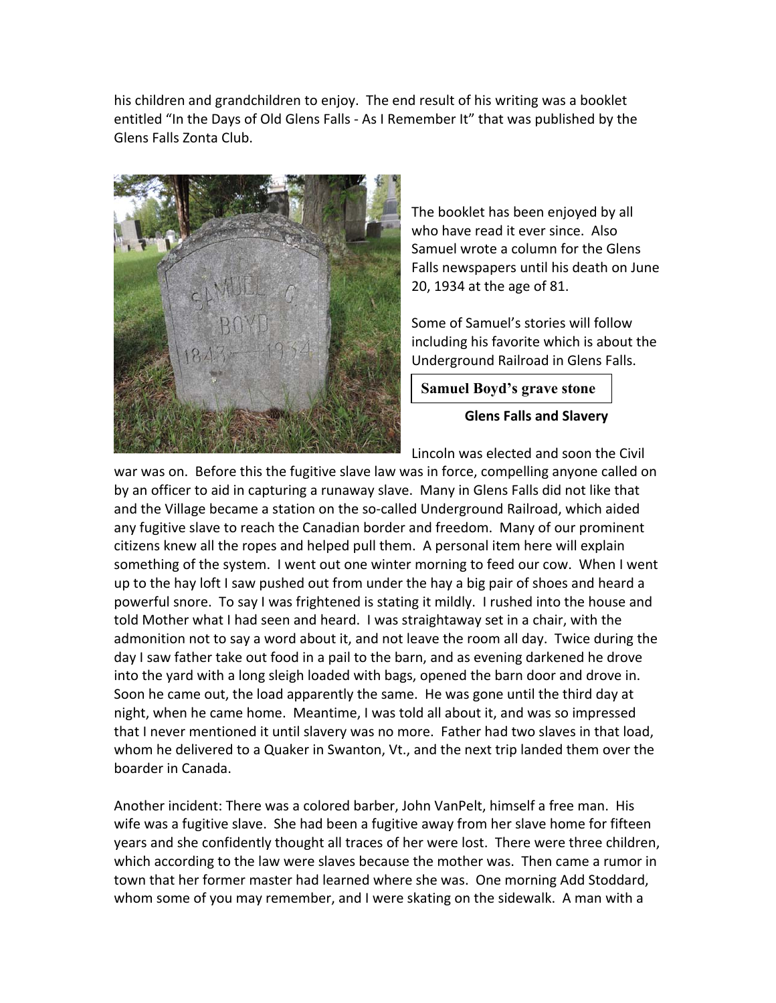his children and grandchildren to enjoy. The end result of his writing was a booklet entitled "In the Days of Old Glens Falls ‐ As I Remember It" that was published by the Glens Falls Zonta Club.



The booklet has been enjoyed by all who have read it ever since. Also Samuel wrote a column for the Glens Falls newspapers until his death on June 20, 1934 at the age of 81.

Some of Samuel's stories will follow including his favorite which is about the Underground Railroad in Glens Falls.

**Samuel Boyd's grave stone** 

**Glens Falls and Slavery** 

Lincoln was elected and soon the Civil

war was on. Before this the fugitive slave law was in force, compelling anyone called on by an officer to aid in capturing a runaway slave. Many in Glens Falls did not like that and the Village became a station on the so-called Underground Railroad, which aided any fugitive slave to reach the Canadian border and freedom. Many of our prominent citizens knew all the ropes and helped pull them. A personal item here will explain something of the system. I went out one winter morning to feed our cow. When I went up to the hay loft I saw pushed out from under the hay a big pair of shoes and heard a powerful snore. To say I was frightened is stating it mildly. I rushed into the house and told Mother what I had seen and heard. I was straightaway set in a chair, with the admonition not to say a word about it, and not leave the room all day. Twice during the day I saw father take out food in a pail to the barn, and as evening darkened he drove into the yard with a long sleigh loaded with bags, opened the barn door and drove in. Soon he came out, the load apparently the same. He was gone until the third day at night, when he came home. Meantime, I was told all about it, and was so impressed that I never mentioned it until slavery was no more. Father had two slaves in that load, whom he delivered to a Quaker in Swanton, Vt., and the next trip landed them over the boarder in Canada.

Another incident: There was a colored barber, John VanPelt, himself a free man. His wife was a fugitive slave. She had been a fugitive away from her slave home for fifteen years and she confidently thought all traces of her were lost. There were three children, which according to the law were slaves because the mother was. Then came a rumor in town that her former master had learned where she was. One morning Add Stoddard, whom some of you may remember, and I were skating on the sidewalk. A man with a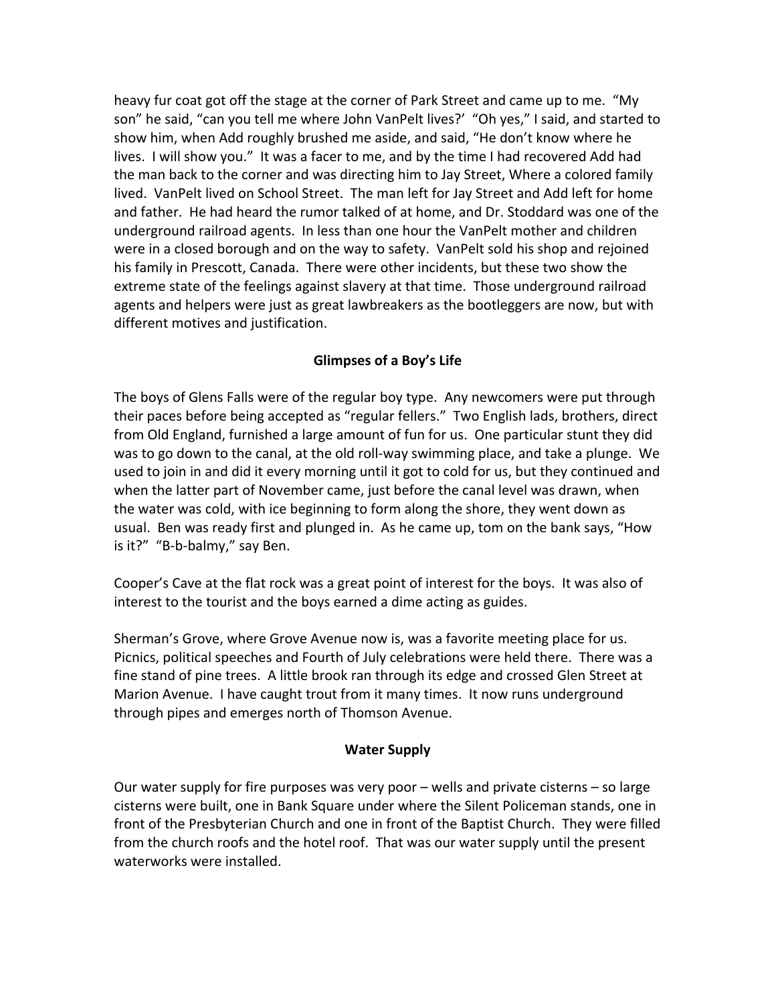heavy fur coat got off the stage at the corner of Park Street and came up to me. "My son" he said, "can you tell me where John VanPelt lives?' "Oh yes," I said, and started to show him, when Add roughly brushed me aside, and said, "He don't know where he lives. I will show you." It was a facer to me, and by the time I had recovered Add had the man back to the corner and was directing him to Jay Street, Where a colored family lived. VanPelt lived on School Street. The man left for Jay Street and Add left for home and father. He had heard the rumor talked of at home, and Dr. Stoddard was one of the underground railroad agents. In less than one hour the VanPelt mother and children were in a closed borough and on the way to safety. VanPelt sold his shop and rejoined his family in Prescott, Canada. There were other incidents, but these two show the extreme state of the feelings against slavery at that time. Those underground railroad agents and helpers were just as great lawbreakers as the bootleggers are now, but with different motives and justification.

#### **Glimpses of a Boy's Life**

The boys of Glens Falls were of the regular boy type. Any newcomers were put through their paces before being accepted as "regular fellers." Two English lads, brothers, direct from Old England, furnished a large amount of fun for us. One particular stunt they did was to go down to the canal, at the old roll‐way swimming place, and take a plunge. We used to join in and did it every morning until it got to cold for us, but they continued and when the latter part of November came, just before the canal level was drawn, when the water was cold, with ice beginning to form along the shore, they went down as usual. Ben was ready first and plunged in. As he came up, tom on the bank says, "How is it?" "B‐b‐balmy," say Ben.

Cooper's Cave at the flat rock was a great point of interest for the boys. It was also of interest to the tourist and the boys earned a dime acting as guides.

Sherman's Grove, where Grove Avenue now is, was a favorite meeting place for us. Picnics, political speeches and Fourth of July celebrations were held there. There was a fine stand of pine trees. A little brook ran through its edge and crossed Glen Street at Marion Avenue. I have caught trout from it many times. It now runs underground through pipes and emerges north of Thomson Avenue.

#### **Water Supply**

Our water supply for fire purposes was very poor – wells and private cisterns – so large cisterns were built, one in Bank Square under where the Silent Policeman stands, one in front of the Presbyterian Church and one in front of the Baptist Church. They were filled from the church roofs and the hotel roof. That was our water supply until the present waterworks were installed.